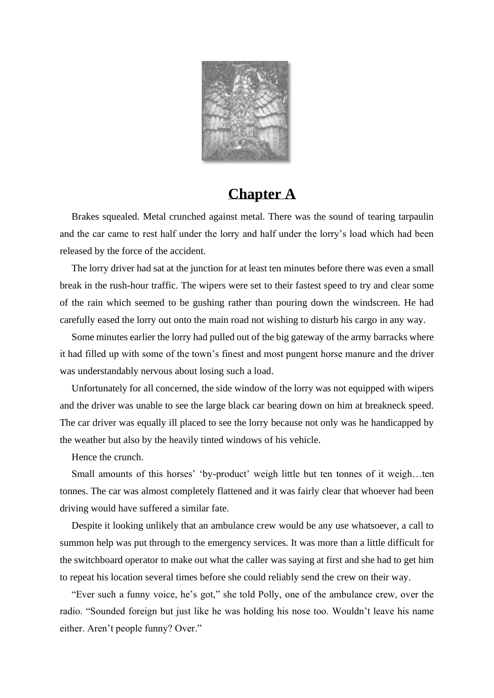

## **Chapter A**

Brakes squealed. Metal crunched against metal. There was the sound of tearing tarpaulin and the car came to rest half under the lorry and half under the lorry's load which had been released by the force of the accident.

The lorry driver had sat at the junction for at least ten minutes before there was even a small break in the rush-hour traffic. The wipers were set to their fastest speed to try and clear some of the rain which seemed to be gushing rather than pouring down the windscreen. He had carefully eased the lorry out onto the main road not wishing to disturb his cargo in any way.

Some minutes earlier the lorry had pulled out of the big gateway of the army barracks where it had filled up with some of the town's finest and most pungent horse manure and the driver was understandably nervous about losing such a load.

Unfortunately for all concerned, the side window of the lorry was not equipped with wipers and the driver was unable to see the large black car bearing down on him at breakneck speed. The car driver was equally ill placed to see the lorry because not only was he handicapped by the weather but also by the heavily tinted windows of his vehicle.

Hence the crunch.

Small amounts of this horses' 'by-product' weigh little but ten tonnes of it weigh…ten tonnes. The car was almost completely flattened and it was fairly clear that whoever had been driving would have suffered a similar fate.

Despite it looking unlikely that an ambulance crew would be any use whatsoever, a call to summon help was put through to the emergency services. It was more than a little difficult for the switchboard operator to make out what the caller was saying at first and she had to get him to repeat his location several times before she could reliably send the crew on their way.

"Ever such a funny voice, he's got," she told Polly, one of the ambulance crew, over the radio. "Sounded foreign but just like he was holding his nose too. Wouldn't leave his name either. Aren't people funny? Over."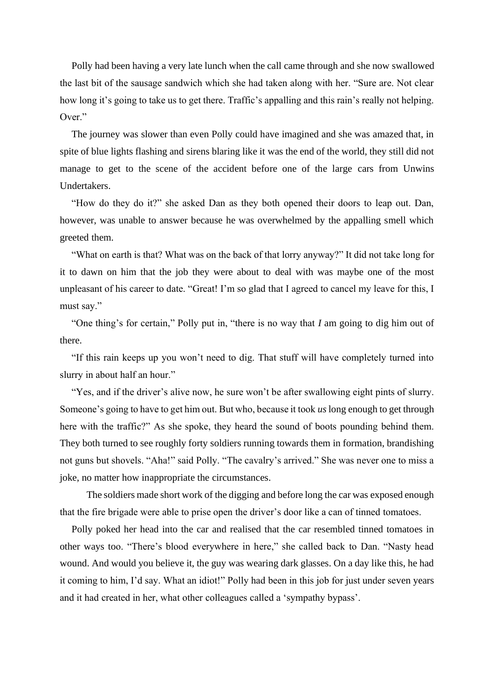Polly had been having a very late lunch when the call came through and she now swallowed the last bit of the sausage sandwich which she had taken along with her. "Sure are. Not clear how long it's going to take us to get there. Traffic's appalling and this rain's really not helping. Over."

The journey was slower than even Polly could have imagined and she was amazed that, in spite of blue lights flashing and sirens blaring like it was the end of the world, they still did not manage to get to the scene of the accident before one of the large cars from Unwins Undertakers.

"How do they do it?" she asked Dan as they both opened their doors to leap out. Dan, however, was unable to answer because he was overwhelmed by the appalling smell which greeted them.

"What on earth is that? What was on the back of that lorry anyway?" It did not take long for it to dawn on him that the job they were about to deal with was maybe one of the most unpleasant of his career to date. "Great! I'm so glad that I agreed to cancel my leave for this, I must say."

"One thing's for certain," Polly put in, "there is no way that *I* am going to dig him out of there.

"If this rain keeps up you won't need to dig. That stuff will have completely turned into slurry in about half an hour."

"Yes, and if the driver's alive now, he sure won't be after swallowing eight pints of slurry. Someone's going to have to get him out. But who, because it took *us* long enough to get through here with the traffic?" As she spoke, they heard the sound of boots pounding behind them. They both turned to see roughly forty soldiers running towards them in formation, brandishing not guns but shovels. "Aha!" said Polly. "The cavalry's arrived." She was never one to miss a joke, no matter how inappropriate the circumstances.

 The soldiers made short work of the digging and before long the car was exposed enough that the fire brigade were able to prise open the driver's door like a can of tinned tomatoes.

Polly poked her head into the car and realised that the car resembled tinned tomatoes in other ways too. "There's blood everywhere in here," she called back to Dan. "Nasty head wound. And would you believe it, the guy was wearing dark glasses. On a day like this, he had it coming to him, I'd say. What an idiot!" Polly had been in this job for just under seven years and it had created in her, what other colleagues called a 'sympathy bypass'.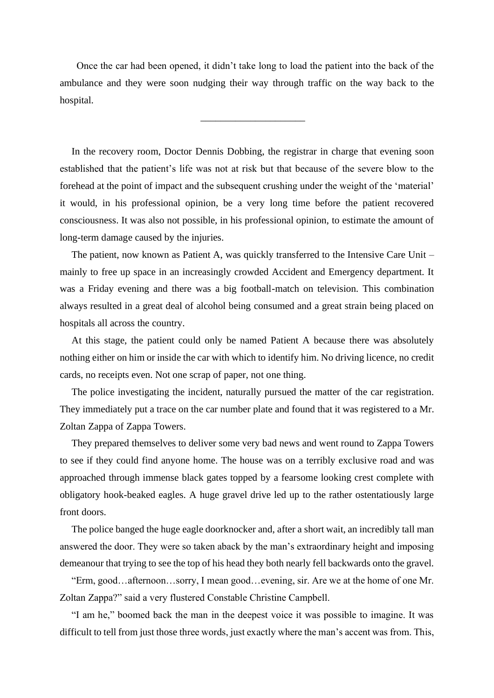Once the car had been opened, it didn't take long to load the patient into the back of the ambulance and they were soon nudging their way through traffic on the way back to the hospital.

\_\_\_\_\_\_\_\_\_\_\_\_\_\_\_\_\_\_\_\_\_

In the recovery room, Doctor Dennis Dobbing, the registrar in charge that evening soon established that the patient's life was not at risk but that because of the severe blow to the forehead at the point of impact and the subsequent crushing under the weight of the 'material' it would, in his professional opinion, be a very long time before the patient recovered consciousness. It was also not possible, in his professional opinion, to estimate the amount of long-term damage caused by the injuries.

The patient, now known as Patient A, was quickly transferred to the Intensive Care Unit – mainly to free up space in an increasingly crowded Accident and Emergency department. It was a Friday evening and there was a big football-match on television. This combination always resulted in a great deal of alcohol being consumed and a great strain being placed on hospitals all across the country.

At this stage, the patient could only be named Patient A because there was absolutely nothing either on him or inside the car with which to identify him. No driving licence, no credit cards, no receipts even. Not one scrap of paper, not one thing.

The police investigating the incident, naturally pursued the matter of the car registration. They immediately put a trace on the car number plate and found that it was registered to a Mr. Zoltan Zappa of Zappa Towers.

They prepared themselves to deliver some very bad news and went round to Zappa Towers to see if they could find anyone home. The house was on a terribly exclusive road and was approached through immense black gates topped by a fearsome looking crest complete with obligatory hook-beaked eagles. A huge gravel drive led up to the rather ostentatiously large front doors.

The police banged the huge eagle doorknocker and, after a short wait, an incredibly tall man answered the door. They were so taken aback by the man's extraordinary height and imposing demeanour that trying to see the top of his head they both nearly fell backwards onto the gravel.

"Erm, good…afternoon…sorry, I mean good…evening, sir. Are we at the home of one Mr. Zoltan Zappa?" said a very flustered Constable Christine Campbell.

"I am he," boomed back the man in the deepest voice it was possible to imagine. It was difficult to tell from just those three words, just exactly where the man's accent was from. This,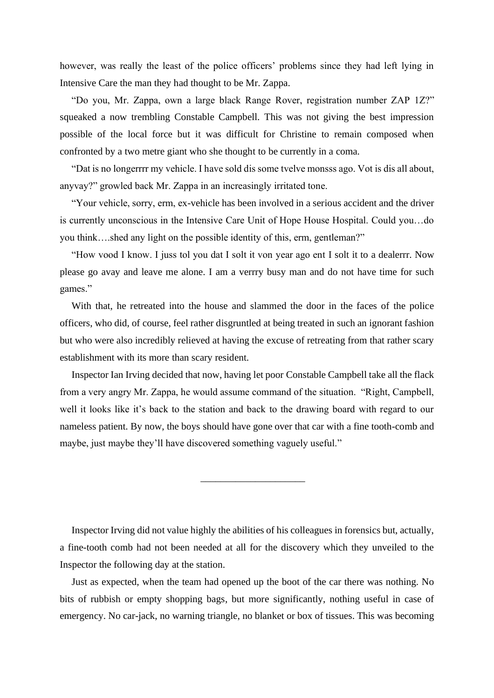however, was really the least of the police officers' problems since they had left lying in Intensive Care the man they had thought to be Mr. Zappa.

"Do you, Mr. Zappa, own a large black Range Rover, registration number ZAP 1Z?" squeaked a now trembling Constable Campbell. This was not giving the best impression possible of the local force but it was difficult for Christine to remain composed when confronted by a two metre giant who she thought to be currently in a coma.

"Dat is no longerrrr my vehicle. I have sold dis some tvelve monsss ago. Vot is dis all about, anyvay?" growled back Mr. Zappa in an increasingly irritated tone.

"Your vehicle, sorry, erm, ex-vehicle has been involved in a serious accident and the driver is currently unconscious in the Intensive Care Unit of Hope House Hospital. Could you…do you think….shed any light on the possible identity of this, erm, gentleman?"

"How vood I know. I juss tol you dat I solt it von year ago ent I solt it to a dealerrr. Now please go avay and leave me alone. I am a verrry busy man and do not have time for such games."

With that, he retreated into the house and slammed the door in the faces of the police officers, who did, of course, feel rather disgruntled at being treated in such an ignorant fashion but who were also incredibly relieved at having the excuse of retreating from that rather scary establishment with its more than scary resident.

Inspector Ian Irving decided that now, having let poor Constable Campbell take all the flack from a very angry Mr. Zappa, he would assume command of the situation. "Right, Campbell, well it looks like it's back to the station and back to the drawing board with regard to our nameless patient. By now, the boys should have gone over that car with a fine tooth-comb and maybe, just maybe they'll have discovered something vaguely useful."

\_\_\_\_\_\_\_\_\_\_\_\_\_\_\_\_\_\_\_\_\_

Inspector Irving did not value highly the abilities of his colleagues in forensics but, actually, a fine-tooth comb had not been needed at all for the discovery which they unveiled to the Inspector the following day at the station.

Just as expected, when the team had opened up the boot of the car there was nothing. No bits of rubbish or empty shopping bags, but more significantly, nothing useful in case of emergency. No car-jack, no warning triangle, no blanket or box of tissues. This was becoming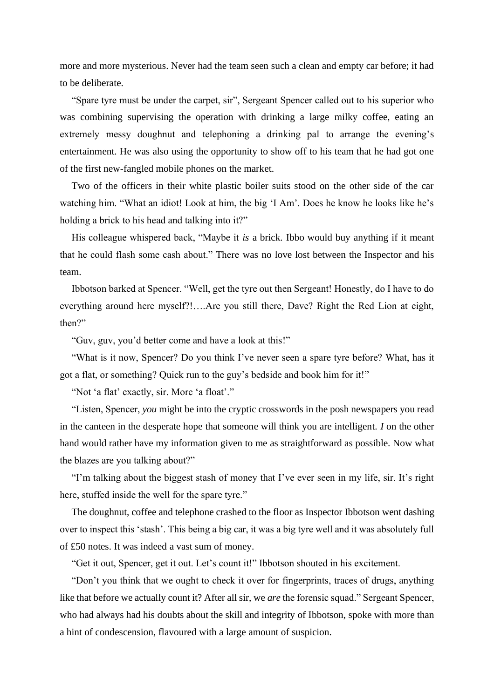more and more mysterious. Never had the team seen such a clean and empty car before; it had to be deliberate.

"Spare tyre must be under the carpet, sir", Sergeant Spencer called out to his superior who was combining supervising the operation with drinking a large milky coffee, eating an extremely messy doughnut and telephoning a drinking pal to arrange the evening's entertainment. He was also using the opportunity to show off to his team that he had got one of the first new-fangled mobile phones on the market.

Two of the officers in their white plastic boiler suits stood on the other side of the car watching him. "What an idiot! Look at him, the big 'I Am'. Does he know he looks like he's holding a brick to his head and talking into it?"

His colleague whispered back, "Maybe it *is* a brick. Ibbo would buy anything if it meant that he could flash some cash about." There was no love lost between the Inspector and his team.

Ibbotson barked at Spencer. "Well, get the tyre out then Sergeant! Honestly, do I have to do everything around here myself?!….Are you still there, Dave? Right the Red Lion at eight, then?"

"Guv, guv, you'd better come and have a look at this!"

"What is it now, Spencer? Do you think I've never seen a spare tyre before? What, has it got a flat, or something? Quick run to the guy's bedside and book him for it!"

"Not 'a flat' exactly, sir. More 'a float'."

"Listen, Spencer, *you* might be into the cryptic crosswords in the posh newspapers you read in the canteen in the desperate hope that someone will think you are intelligent. *I* on the other hand would rather have my information given to me as straightforward as possible. Now what the blazes are you talking about?"

"I'm talking about the biggest stash of money that I've ever seen in my life, sir. It's right here, stuffed inside the well for the spare tyre."

The doughnut, coffee and telephone crashed to the floor as Inspector Ibbotson went dashing over to inspect this 'stash'. This being a big car, it was a big tyre well and it was absolutely full of £50 notes. It was indeed a vast sum of money.

"Get it out, Spencer, get it out. Let's count it!" Ibbotson shouted in his excitement.

"Don't you think that we ought to check it over for fingerprints, traces of drugs, anything like that before we actually count it? After all sir, we *are* the forensic squad." Sergeant Spencer, who had always had his doubts about the skill and integrity of Ibbotson, spoke with more than a hint of condescension, flavoured with a large amount of suspicion.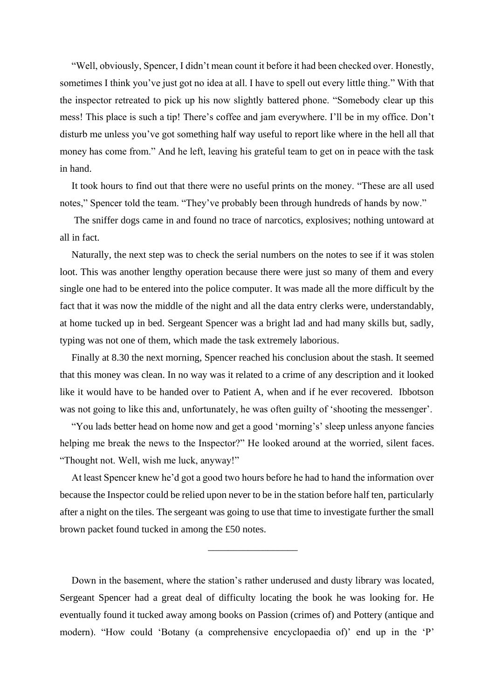"Well, obviously, Spencer, I didn't mean count it before it had been checked over. Honestly, sometimes I think you've just got no idea at all. I have to spell out every little thing." With that the inspector retreated to pick up his now slightly battered phone. "Somebody clear up this mess! This place is such a tip! There's coffee and jam everywhere. I'll be in my office. Don't disturb me unless you've got something half way useful to report like where in the hell all that money has come from." And he left, leaving his grateful team to get on in peace with the task in hand.

It took hours to find out that there were no useful prints on the money. "These are all used notes," Spencer told the team. "They've probably been through hundreds of hands by now."

The sniffer dogs came in and found no trace of narcotics, explosives; nothing untoward at all in fact.

Naturally, the next step was to check the serial numbers on the notes to see if it was stolen loot. This was another lengthy operation because there were just so many of them and every single one had to be entered into the police computer. It was made all the more difficult by the fact that it was now the middle of the night and all the data entry clerks were, understandably, at home tucked up in bed. Sergeant Spencer was a bright lad and had many skills but, sadly, typing was not one of them, which made the task extremely laborious.

Finally at 8.30 the next morning, Spencer reached his conclusion about the stash. It seemed that this money was clean. In no way was it related to a crime of any description and it looked like it would have to be handed over to Patient A, when and if he ever recovered. Ibbotson was not going to like this and, unfortunately, he was often guilty of 'shooting the messenger'.

"You lads better head on home now and get a good 'morning's' sleep unless anyone fancies helping me break the news to the Inspector?" He looked around at the worried, silent faces. "Thought not. Well, wish me luck, anyway!"

At least Spencer knew he'd got a good two hours before he had to hand the information over because the Inspector could be relied upon never to be in the station before half ten, particularly after a night on the tiles. The sergeant was going to use that time to investigate further the small brown packet found tucked in among the £50 notes.

\_\_\_\_\_\_\_\_\_\_\_\_\_\_\_\_\_\_

Down in the basement, where the station's rather underused and dusty library was located, Sergeant Spencer had a great deal of difficulty locating the book he was looking for. He eventually found it tucked away among books on Passion (crimes of) and Pottery (antique and modern). "How could 'Botany (a comprehensive encyclopaedia of)' end up in the 'P'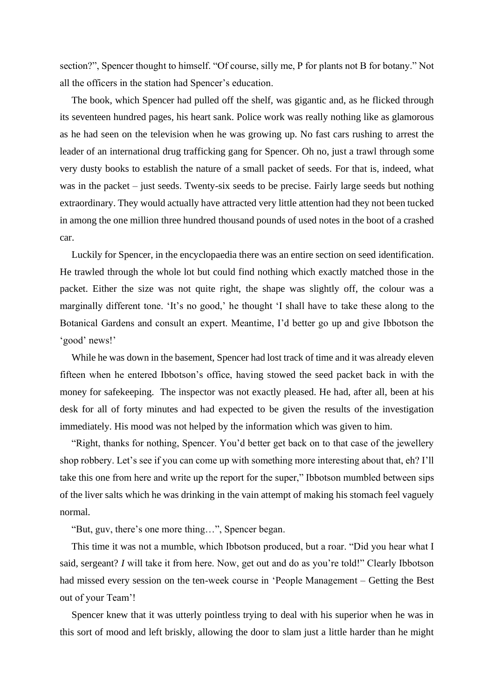section?", Spencer thought to himself. "Of course, silly me, P for plants not B for botany." Not all the officers in the station had Spencer's education.

The book, which Spencer had pulled off the shelf, was gigantic and, as he flicked through its seventeen hundred pages, his heart sank. Police work was really nothing like as glamorous as he had seen on the television when he was growing up. No fast cars rushing to arrest the leader of an international drug trafficking gang for Spencer. Oh no, just a trawl through some very dusty books to establish the nature of a small packet of seeds. For that is, indeed, what was in the packet – just seeds. Twenty-six seeds to be precise. Fairly large seeds but nothing extraordinary. They would actually have attracted very little attention had they not been tucked in among the one million three hundred thousand pounds of used notes in the boot of a crashed car.

Luckily for Spencer, in the encyclopaedia there was an entire section on seed identification. He trawled through the whole lot but could find nothing which exactly matched those in the packet. Either the size was not quite right, the shape was slightly off, the colour was a marginally different tone. 'It's no good,' he thought 'I shall have to take these along to the Botanical Gardens and consult an expert. Meantime, I'd better go up and give Ibbotson the 'good' news!'

While he was down in the basement, Spencer had lost track of time and it was already eleven fifteen when he entered Ibbotson's office, having stowed the seed packet back in with the money for safekeeping. The inspector was not exactly pleased. He had, after all, been at his desk for all of forty minutes and had expected to be given the results of the investigation immediately. His mood was not helped by the information which was given to him.

"Right, thanks for nothing, Spencer. You'd better get back on to that case of the jewellery shop robbery. Let's see if you can come up with something more interesting about that, eh? I'll take this one from here and write up the report for the super," Ibbotson mumbled between sips of the liver salts which he was drinking in the vain attempt of making his stomach feel vaguely normal.

"But, guv, there's one more thing…", Spencer began.

This time it was not a mumble, which Ibbotson produced, but a roar. "Did you hear what I said, sergeant? *I* will take it from here. Now, get out and do as you're told!" Clearly Ibbotson had missed every session on the ten-week course in 'People Management – Getting the Best out of your Team'!

Spencer knew that it was utterly pointless trying to deal with his superior when he was in this sort of mood and left briskly, allowing the door to slam just a little harder than he might